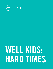

# WELL KIDS: HARD TIMES